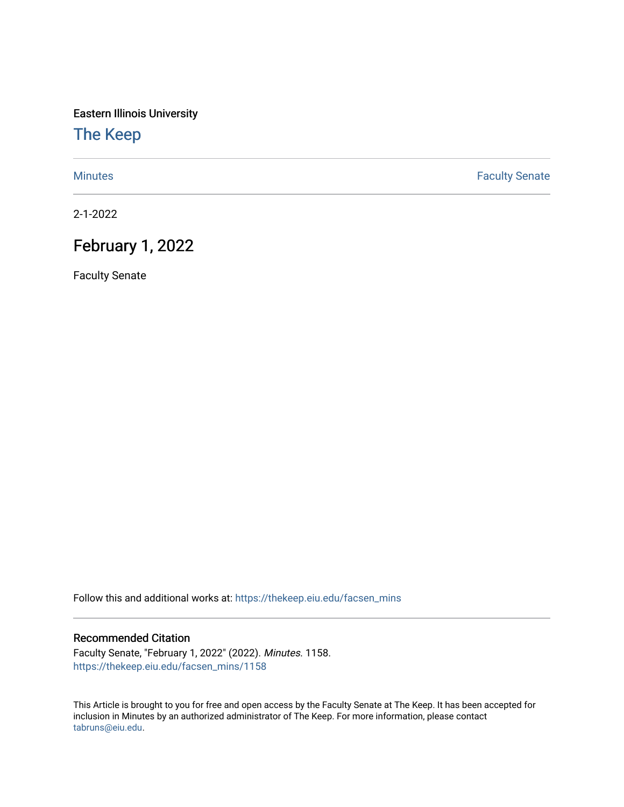Eastern Illinois University

[The Keep](https://thekeep.eiu.edu/) 

[Minutes](https://thekeep.eiu.edu/facsen_mins) **Faculty Senate** 

2-1-2022

## February 1, 2022

Faculty Senate

Follow this and additional works at: [https://thekeep.eiu.edu/facsen\\_mins](https://thekeep.eiu.edu/facsen_mins?utm_source=thekeep.eiu.edu%2Ffacsen_mins%2F1158&utm_medium=PDF&utm_campaign=PDFCoverPages) 

## Recommended Citation

Faculty Senate, "February 1, 2022" (2022). Minutes. 1158. [https://thekeep.eiu.edu/facsen\\_mins/1158](https://thekeep.eiu.edu/facsen_mins/1158?utm_source=thekeep.eiu.edu%2Ffacsen_mins%2F1158&utm_medium=PDF&utm_campaign=PDFCoverPages) 

This Article is brought to you for free and open access by the Faculty Senate at The Keep. It has been accepted for inclusion in Minutes by an authorized administrator of The Keep. For more information, please contact [tabruns@eiu.edu.](mailto:tabruns@eiu.edu)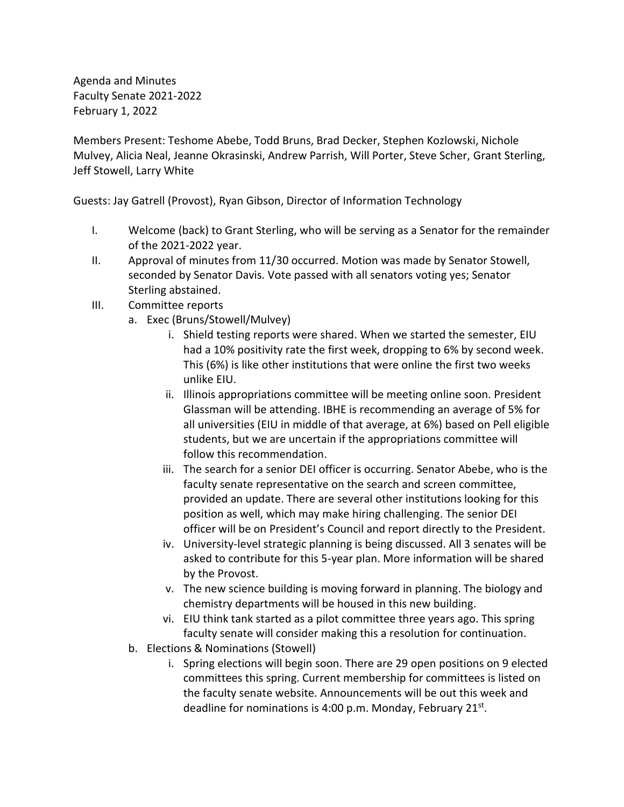Agenda and Minutes Faculty Senate 2021-2022 February 1, 2022

Members Present: Teshome Abebe, Todd Bruns, Brad Decker, Stephen Kozlowski, Nichole Mulvey, Alicia Neal, Jeanne Okrasinski, Andrew Parrish, Will Porter, Steve Scher, Grant Sterling, Jeff Stowell, Larry White

Guests: Jay Gatrell (Provost), Ryan Gibson, Director of Information Technology

- I. Welcome (back) to Grant Sterling, who will be serving as a Senator for the remainder of the 2021-2022 year.
- II. Approval of minutes from 11/30 occurred. Motion was made by Senator Stowell, seconded by Senator Davis. Vote passed with all senators voting yes; Senator Sterling abstained.
- III. Committee reports
	- a. Exec (Bruns/Stowell/Mulvey)
		- i. Shield testing reports were shared. When we started the semester, EIU had a 10% positivity rate the first week, dropping to 6% by second week. This (6%) is like other institutions that were online the first two weeks unlike EIU.
		- ii. Illinois appropriations committee will be meeting online soon. President Glassman will be attending. IBHE is recommending an average of 5% for all universities (EIU in middle of that average, at 6%) based on Pell eligible students, but we are uncertain if the appropriations committee will follow this recommendation.
		- iii. The search for a senior DEI officer is occurring. Senator Abebe, who is the faculty senate representative on the search and screen committee, provided an update. There are several other institutions looking for this position as well, which may make hiring challenging. The senior DEI officer will be on President's Council and report directly to the President.
		- iv. University-level strategic planning is being discussed. All 3 senates will be asked to contribute for this 5-year plan. More information will be shared by the Provost.
		- v. The new science building is moving forward in planning. The biology and chemistry departments will be housed in this new building.
		- vi. EIU think tank started as a pilot committee three years ago. This spring faculty senate will consider making this a resolution for continuation.
	- b. Elections & Nominations (Stowell)
		- i. Spring elections will begin soon. There are 29 open positions on 9 elected committees this spring. Current membership for committees is listed on the faculty senate website. Announcements will be out this week and deadline for nominations is 4:00 p.m. Monday, February 21st.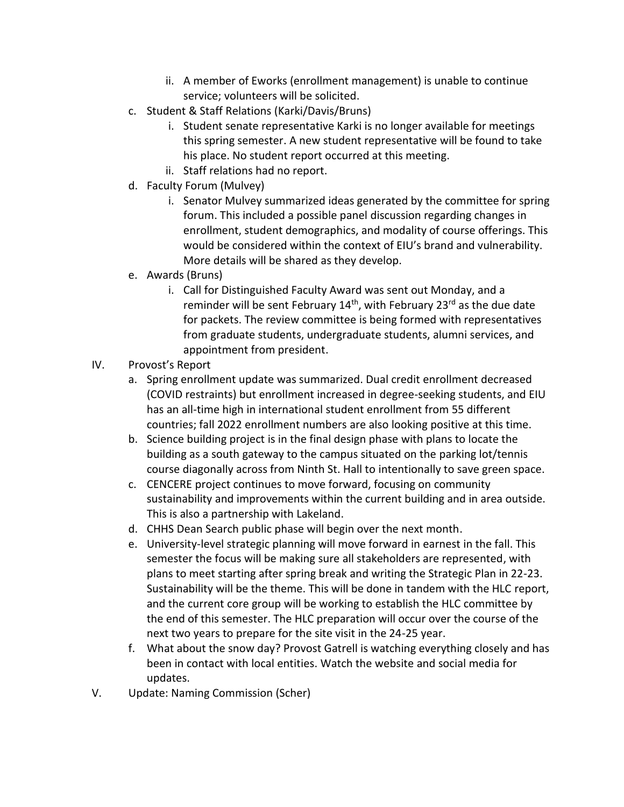- ii. A member of Eworks (enrollment management) is unable to continue service; volunteers will be solicited.
- c. Student & Staff Relations (Karki/Davis/Bruns)
	- i. Student senate representative Karki is no longer available for meetings this spring semester. A new student representative will be found to take his place. No student report occurred at this meeting.
	- ii. Staff relations had no report.
- d. Faculty Forum (Mulvey)
	- i. Senator Mulvey summarized ideas generated by the committee for spring forum. This included a possible panel discussion regarding changes in enrollment, student demographics, and modality of course offerings. This would be considered within the context of EIU's brand and vulnerability. More details will be shared as they develop.
- e. Awards (Bruns)
	- i. Call for Distinguished Faculty Award was sent out Monday, and a reminder will be sent February 14<sup>th</sup>, with February 23<sup>rd</sup> as the due date for packets. The review committee is being formed with representatives from graduate students, undergraduate students, alumni services, and appointment from president.
- IV. Provost's Report
	- a. Spring enrollment update was summarized. Dual credit enrollment decreased (COVID restraints) but enrollment increased in degree-seeking students, and EIU has an all-time high in international student enrollment from 55 different countries; fall 2022 enrollment numbers are also looking positive at this time.
	- b. Science building project is in the final design phase with plans to locate the building as a south gateway to the campus situated on the parking lot/tennis course diagonally across from Ninth St. Hall to intentionally to save green space.
	- c. CENCERE project continues to move forward, focusing on community sustainability and improvements within the current building and in area outside. This is also a partnership with Lakeland.
	- d. CHHS Dean Search public phase will begin over the next month.
	- e. University-level strategic planning will move forward in earnest in the fall. This semester the focus will be making sure all stakeholders are represented, with plans to meet starting after spring break and writing the Strategic Plan in 22-23. Sustainability will be the theme. This will be done in tandem with the HLC report, and the current core group will be working to establish the HLC committee by the end of this semester. The HLC preparation will occur over the course of the next two years to prepare for the site visit in the 24-25 year.
	- f. What about the snow day? Provost Gatrell is watching everything closely and has been in contact with local entities. Watch the website and social media for updates.
- V. Update: Naming Commission (Scher)